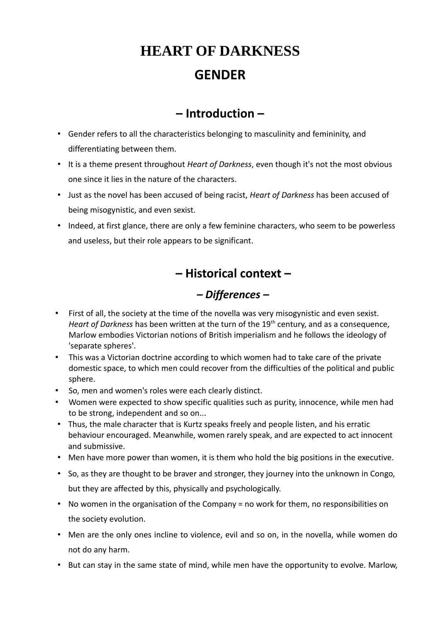# **HEART OF DARKNESS GENDER**

# **– Introduction –**

- Gender refers to all the characteristics belonging to masculinity and femininity, and differentiating between them.
- It is a theme present throughout *Heart of Darkness*, even though it's not the most obvious one since it lies in the nature of the characters.
- Just as the novel has been accused of being racist, *Heart of Darkness* has been accused of being misogynistic, and even sexist.
- Indeed, at first glance, there are only a few feminine characters, who seem to be powerless and useless, but their role appears to be significant.

# **– Historical context –**

# *– Differences –*

- First of all, the society at the time of the novella was very misogynistic and even sexist. *Heart of Darkness* has been written at the turn of the 19<sup>th</sup> century, and as a consequence, Marlow embodies Victorian notions of British imperialism and he follows the ideology of 'separate spheres'.
- This was a Victorian doctrine according to which women had to take care of the private domestic space, to which men could recover from the difficulties of the political and public sphere.
- So, men and women's roles were each clearly distinct.
- Women were expected to show specific qualities such as purity, innocence, while men had to be strong, independent and so on...
- Thus, the male character that is Kurtz speaks freely and people listen, and his erratic behaviour encouraged. Meanwhile, women rarely speak, and are expected to act innocent and submissive.
- Men have more power than women, it is them who hold the big positions in the executive.
- So, as they are thought to be braver and stronger, they journey into the unknown in Congo, but they are affected by this, physically and psychologically.
- No women in the organisation of the Company = no work for them, no responsibilities on the society evolution.
- Men are the only ones incline to violence, evil and so on, in the novella, while women do not do any harm.
- But can stay in the same state of mind, while men have the opportunity to evolve. Marlow,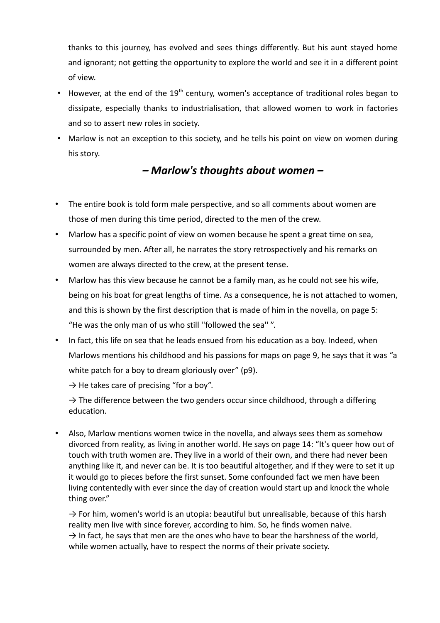thanks to this journey, has evolved and sees things differently. But his aunt stayed home and ignorant; not getting the opportunity to explore the world and see it in a different point of view.

- However, at the end of the 19<sup>th</sup> century, women's acceptance of traditional roles began to dissipate, especially thanks to industrialisation, that allowed women to work in factories and so to assert new roles in society.
- Marlow is not an exception to this society, and he tells his point on view on women during his story.

#### *– Marlow's thoughts about women –*

- The entire book is told form male perspective, and so all comments about women are those of men during this time period, directed to the men of the crew.
- Marlow has a specific point of view on women because he spent a great time on sea, surrounded by men. After all, he narrates the story retrospectively and his remarks on women are always directed to the crew, at the present tense.
- Marlow has this view because he cannot be a family man, as he could not see his wife, being on his boat for great lengths of time. As a consequence, he is not attached to women, and this is shown by the first description that is made of him in the novella, on page 5: "He was the only man of us who still ''followed the sea'' ".
- In fact, this life on sea that he leads ensued from his education as a boy. Indeed, when Marlows mentions his childhood and his passions for maps on page 9, he says that it was "a white patch for a boy to dream gloriously over" (p9).

 $\rightarrow$  He takes care of precising "for a boy".

 $\rightarrow$  The difference between the two genders occur since childhood, through a differing education.

• Also, Marlow mentions women twice in the novella, and always sees them as somehow divorced from reality, as living in another world. He says on page 14: "It's queer how out of touch with truth women are. They live in a world of their own, and there had never been anything like it, and never can be. It is too beautiful altogether, and if they were to set it up it would go to pieces before the first sunset. Some confounded fact we men have been living contentedly with ever since the day of creation would start up and knock the whole thing over."

 $\rightarrow$  For him, women's world is an utopia: beautiful but unrealisable, because of this harsh reality men live with since forever, according to him. So, he finds women naive.  $\rightarrow$  In fact, he says that men are the ones who have to bear the harshness of the world, while women actually, have to respect the norms of their private society.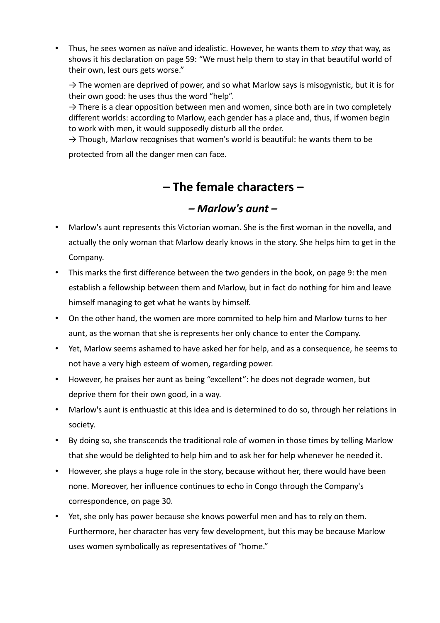• Thus, he sees women as naïve and idealistic. However, he wants them to *stay* that way, as shows it his declaration on page 59: "We must help them to stay in that beautiful world of their own, lest ours gets worse."

 $\rightarrow$  The women are deprived of power, and so what Marlow says is misogynistic, but it is for their own good: he uses thus the word "help".

 $\rightarrow$  There is a clear opposition between men and women, since both are in two completely different worlds: according to Marlow, each gender has a place and, thus, if women begin to work with men, it would supposedly disturb all the order.

 $\rightarrow$  Though, Marlow recognises that women's world is beautiful: he wants them to be

protected from all the danger men can face.

### **– The female characters –**

#### *– Marlow's aunt –*

- Marlow's aunt represents this Victorian woman. She is the first woman in the novella, and actually the only woman that Marlow dearly knows in the story. She helps him to get in the Company.
- This marks the first difference between the two genders in the book, on page 9: the men establish a fellowship between them and Marlow, but in fact do nothing for him and leave himself managing to get what he wants by himself.
- On the other hand, the women are more commited to help him and Marlow turns to her aunt, as the woman that she is represents her only chance to enter the Company.
- Yet, Marlow seems ashamed to have asked her for help, and as a consequence, he seems to not have a very high esteem of women, regarding power.
- However, he praises her aunt as being "excellent": he does not degrade women, but deprive them for their own good, in a way.
- Marlow's aunt is enthuastic at this idea and is determined to do so, through her relations in society.
- By doing so, she transcends the traditional role of women in those times by telling Marlow that she would be delighted to help him and to ask her for help whenever he needed it.
- However, she plays a huge role in the story, because without her, there would have been none. Moreover, her influence continues to echo in Congo through the Company's correspondence, on page 30.
- Yet, she only has power because she knows powerful men and has to rely on them. Furthermore, her character has very few development, but this may be because Marlow uses women symbolically as representatives of "home."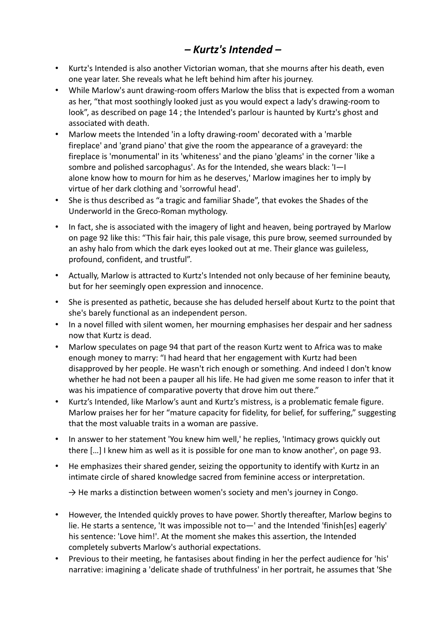# *– Kurtz's Intended –*

- Kurtz's Intended is also another Victorian woman, that she mourns after his death, even one year later. She reveals what he left behind him after his journey.
- While Marlow's aunt drawing-room offers Marlow the bliss that is expected from a woman as her, "that most soothingly looked just as you would expect a lady's drawing-room to look", as described on page 14 ; the Intended's parlour is haunted by Kurtz's ghost and associated with death.
- Marlow meets the Intended 'in a lofty drawing-room' decorated with a 'marble fireplace' and 'grand piano' that give the room the appearance of a graveyard: the fireplace is 'monumental' in its 'whiteness' and the piano 'gleams' in the corner 'like a sombre and polished sarcophagus'. As for the Intended, she wears black: 'I—I alone know how to mourn for him as he deserves,' Marlow imagines her to imply by virtue of her dark clothing and 'sorrowful head'.
- She is thus described as "a tragic and familiar Shade", that evokes the Shades of the Underworld in the Greco-Roman mythology.
- In fact, she is associated with the imagery of light and heaven, being portrayed by Marlow on page 92 like this: "This fair hair, this pale visage, this pure brow, seemed surrounded by an ashy halo from which the dark eyes looked out at me. Their glance was guileless, profound, confident, and trustful".
- Actually, Marlow is attracted to Kurtz's Intended not only because of her feminine beauty, but for her seemingly open expression and innocence.
- She is presented as pathetic, because she has deluded herself about Kurtz to the point that she's barely functional as an independent person.
- In a novel filled with silent women, her mourning emphasises her despair and her sadness now that Kurtz is dead.
- Marlow speculates on page 94 that part of the reason Kurtz went to Africa was to make enough money to marry: "I had heard that her engagement with Kurtz had been disapproved by her people. He wasn't rich enough or something. And indeed I don't know whether he had not been a pauper all his life. He had given me some reason to infer that it was his impatience of comparative poverty that drove him out there."
- Kurtz's Intended, like Marlow's aunt and Kurtz's mistress, is a problematic female figure. Marlow praises her for her "mature capacity for fidelity, for belief, for suffering," suggesting that the most valuable traits in a woman are passive.
- In answer to her statement 'You knew him well,' he replies, 'Intimacy grows quickly out there […] I knew him as well as it is possible for one man to know another', on page 93.
- He emphasizes their shared gender, seizing the opportunity to identify with Kurtz in an intimate circle of shared knowledge sacred from feminine access or interpretation.

 $\rightarrow$  He marks a distinction between women's society and men's journey in Congo.

- However, the Intended quickly proves to have power. Shortly thereafter, Marlow begins to lie. He starts a sentence, 'It was impossible not to—' and the Intended 'finish[es] eagerly' his sentence: 'Love him!'. At the moment she makes this assertion, the Intended completely subverts Marlow's authorial expectations.
- Previous to their meeting, he fantasises about finding in her the perfect audience for 'his' narrative: imagining a 'delicate shade of truthfulness' in her portrait, he assumes that 'She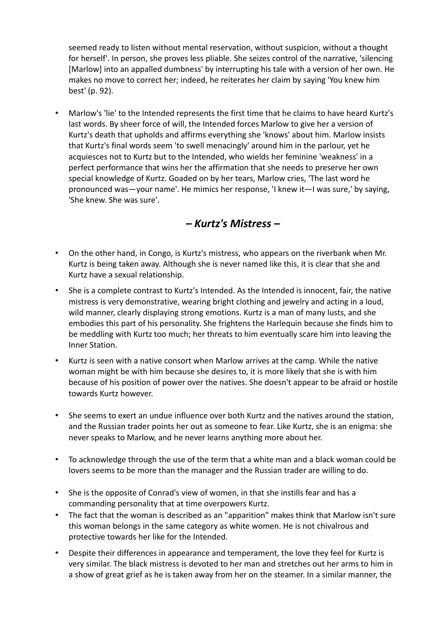seemed ready to listen without mental reservation, without suspicion, without a thought for herself'. In person, she proves less pliable. She seizes control of the narrative, 'silencing [Marlow] into an appalled dumbness' by interrupting his tale with a version of her own. He makes no move to correct her; indeed, he reiterates her claim by saying 'You knew him best' (p. 92).

• Marlow's 'lie' to the Intended represents the first time that he claims to have heard Kurtz's last words. By sheer force of will, the Intended forces Marlow to give her a version of Kurtz's death that upholds and affirms everything she 'knows' about him. Marlow insists that Kurtz's final words seem 'to swell menacingly' around him in the parlour, yet he acquiesces not to Kurtz but to the Intended, who wields her feminine 'weakness' in a perfect performance that wins her the affirmation that she needs to preserve her own special knowledge of Kurtz. Goaded on by her tears, Marlow cries, 'The last word he pronounced was—your name'. He mimics her response, 'I knew it—I was sure,' by saying, 'She knew. She was sure'.

*– Kurtz's Mistress –*

- On the other hand, in Congo, is Kurtz's mistress, who appears on the riverbank when Mr. Kurtz is being taken away. Although she is never named like this, it is clear that she and Kurtz have a sexual relationship.
- She is a complete contrast to Kurtz's Intended. As the Intended is innocent, fair, the native mistress is very demonstrative, wearing bright clothing and jewelry and acting in a loud, wild manner, clearly displaying strong emotions. Kurtz is a man of many lusts, and she embodies this part of his personality. She frightens the Harlequin because she finds him to be meddling with Kurtz too much; her threats to him eventually scare him into leaving the Inner Station.
- Kurtz is seen with a native consort when Marlow arrives at the camp. While the native woman might be with him because she desires to, it is more likely that she is with him because of his position of power over the natives. She doesn't appear to be afraid or hostile towards Kurtz however.
- She seems to exert an undue influence over both Kurtz and the natives around the station, and the Russian trader points her out as someone to fear. Like Kurtz, she is an enigma: she never speaks to Marlow, and he never learns anything more about her.
- To acknowledge through the use of the term that a white man and a black woman could be lovers seems to be more than the manager and the Russian trader are willing to do.
- She is the opposite of Conrad's view of women, in that she instills fear and has a commanding personality that at time overpowers Kurtz.
- The fact that the woman is described as an "apparition" makes think that Marlow isn't sure this woman belongs in the same category as white women. He is not chivalrous and protective towards her like for the Intended.
- Despite their differences in appearance and temperament, the love they feel for Kurtz is very similar. The black mistress is devoted to her man and stretches out her arms to him in a show of great grief as he is taken away from her on the steamer. In a similar manner, the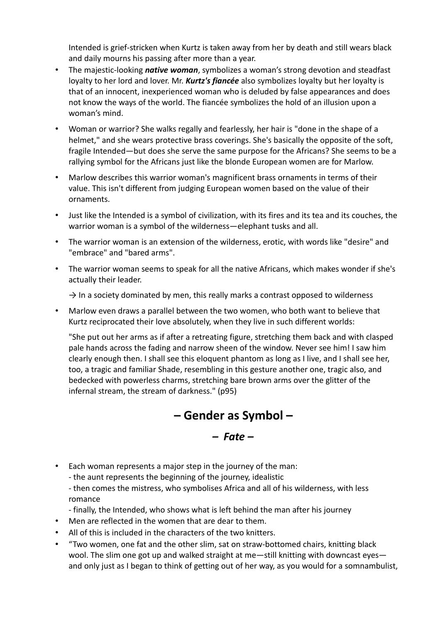Intended is grief-stricken when Kurtz is taken away from her by death and still wears black and daily mourns his passing after more than a year.

- The majestic-looking *native woman*, symbolizes a woman's strong devotion and steadfast loyalty to her lord and lover. Mr. *Kurtz's fiancée* also symbolizes loyalty but her loyalty is that of an innocent, inexperienced woman who is deluded by false appearances and does not know the ways of the world. The fiancée symbolizes the hold of an illusion upon a woman's mind.
- Woman or warrior? She walks regally and fearlessly, her hair is "done in the shape of a helmet," and she wears protective brass coverings. She's basically the opposite of the soft, fragile Intended—but does she serve the same purpose for the Africans? She seems to be a rallying symbol for the Africans just like the blonde European women are for Marlow.
- Marlow describes this warrior woman's magnificent brass ornaments in terms of their value. This isn't different from judging European women based on the value of their ornaments.
- Just like the Intended is a symbol of civilization, with its fires and its tea and its couches, the warrior woman is a symbol of the wilderness—elephant tusks and all.
- The warrior woman is an extension of the wilderness, erotic, with words like "desire" and "embrace" and "bared arms".
- The warrior woman seems to speak for all the native Africans, which makes wonder if she's actually their leader.

 $\rightarrow$  In a society dominated by men, this really marks a contrast opposed to wilderness

• Marlow even draws a parallel between the two women, who both want to believe that Kurtz reciprocated their love absolutely, when they live in such different worlds:

"She put out her arms as if after a retreating figure, stretching them back and with clasped pale hands across the fading and narrow sheen of the window. Never see him! I saw him clearly enough then. I shall see this eloquent phantom as long as I live, and I shall see her, too, a tragic and familiar Shade, resembling in this gesture another one, tragic also, and bedecked with powerless charms, stretching bare brown arms over the glitter of the infernal stream, the stream of darkness." (p95)

# **– Gender as Symbol –**

#### *– Fate –*

- Each woman represents a major step in the journey of the man:
	- the aunt represents the beginning of the journey, idealistic

- then comes the mistress, who symbolises Africa and all of his wilderness, with less romance

- finally, the Intended, who shows what is left behind the man after his journey
- Men are reflected in the women that are dear to them.
- All of this is included in the characters of the two knitters.
- "Two women, one fat and the other slim, sat on straw-bottomed chairs, knitting black wool. The slim one got up and walked straight at me-still knitting with downcast eyesand only just as I began to think of getting out of her way, as you would for a somnambulist,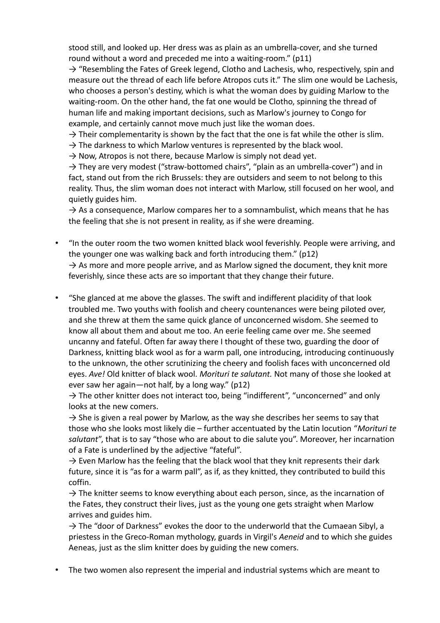stood still, and looked up. Her dress was as plain as an umbrella-cover, and she turned round without a word and preceded me into a waiting-room." (p11)

 $\rightarrow$  "Resembling the Fates of Greek legend, Clotho and Lachesis, who, respectively, spin and measure out the thread of each life before Atropos cuts it." The slim one would be Lachesis, who chooses a person's destiny, which is what the woman does by guiding Marlow to the waiting-room. On the other hand, the fat one would be Clotho, spinning the thread of human life and making important decisions, such as Marlow's journey to Congo for example, and certainly cannot move much just like the woman does.

 $\rightarrow$  Their complementarity is shown by the fact that the one is fat while the other is slim.

 $\rightarrow$  The darkness to which Marlow ventures is represented by the black wool.

 $\rightarrow$  Now, Atropos is not there, because Marlow is simply not dead yet.

 $\rightarrow$  They are very modest ("straw-bottomed chairs", "plain as an umbrella-cover") and in fact, stand out from the rich Brussels: they are outsiders and seem to not belong to this reality. Thus, the slim woman does not interact with Marlow, still focused on her wool, and quietly guides him.

 $\rightarrow$  As a consequence, Marlow compares her to a somnambulist, which means that he has the feeling that she is not present in reality, as if she were dreaming.

- "In the outer room the two women knitted black wool feverishly. People were arriving, and the younger one was walking back and forth introducing them." (p12)  $\rightarrow$  As more and more people arrive, and as Marlow signed the document, they knit more feverishly, since these acts are so important that they change their future.
- "She glanced at me above the glasses. The swift and indifferent placidity of that look troubled me. Two youths with foolish and cheery countenances were being piloted over, and she threw at them the same quick glance of unconcerned wisdom. She seemed to know all about them and about me too. An eerie feeling came over me. She seemed uncanny and fateful. Often far away there I thought of these two, guarding the door of Darkness, knitting black wool as for a warm pall, one introducing, introducing continuously to the unknown, the other scrutinizing the cheery and foolish faces with unconcerned old eyes. *Ave!* Old knitter of black wool. *Morituri te salutant.* Not many of those she looked at ever saw her again—not half, by a long way." (p12)

 $\rightarrow$  The other knitter does not interact too, being "indifferent", "unconcerned" and only looks at the new comers.

 $\rightarrow$  She is given a real power by Marlow, as the way she describes her seems to say that those who she looks most likely die – further accentuated by the Latin locution "*Morituri te salutant*", that is to say "those who are about to die salute you". Moreover, her incarnation of a Fate is underlined by the adjective "fateful".

 $\rightarrow$  Even Marlow has the feeling that the black wool that they knit represents their dark future, since it is "as for a warm pall", as if, as they knitted, they contributed to build this coffin.

 $\rightarrow$  The knitter seems to know everything about each person, since, as the incarnation of the Fates, they construct their lives, just as the young one gets straight when Marlow arrives and guides him.

 $\rightarrow$  The "door of Darkness" evokes the door to the underworld that the Cumaean Sibyl, a priestess in the Greco-Roman mythology, guards in Virgil's *Aeneid* and to which she guides Aeneas, just as the slim knitter does by guiding the new comers.

• The two women also represent the imperial and industrial systems which are meant to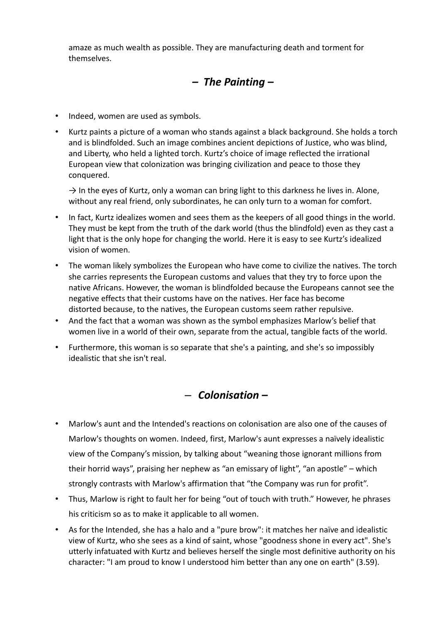amaze as much wealth as possible. They are manufacturing death and torment for themselves.

#### *– The Painting –*

- Indeed, women are used as symbols.
- Kurtz paints a picture of a woman who stands against a black background. She holds a torch and is blindfolded. Such an image combines ancient depictions of Justice, who was blind, and Liberty, who held a lighted torch. Kurtz's choice of image reflected the irrational European view that colonization was bringing civilization and peace to those they conquered.

 $\rightarrow$  In the eyes of Kurtz, only a woman can bring light to this darkness he lives in. Alone, without any real friend, only subordinates, he can only turn to a woman for comfort.

- In fact, Kurtz idealizes women and sees them as the keepers of all good things in the world. They must be kept from the truth of the dark world (thus the blindfold) even as they cast a light that is the only hope for changing the world. Here it is easy to see Kurtz's idealized vision of women.
- The woman likely symbolizes the European who have come to civilize the natives. The torch she carries represents the European customs and values that they try to force upon the native Africans. However, the woman is blindfolded because the Europeans cannot see the negative effects that their customs have on the natives. Her face has become distorted because, to the natives, the European customs seem rather repulsive.
- And the fact that a woman was shown as the symbol emphasizes Marlow's belief that women live in a world of their own, separate from the actual, tangible facts of the world.
- Furthermore, this woman is so separate that she's a painting, and she's so impossibly idealistic that she isn't real.

#### – *Colonisation –*

- Marlow's aunt and the Intended's reactions on colonisation are also one of the causes of Marlow's thoughts on women. Indeed, first, Marlow's aunt expresses a naïvely idealistic view of the Company's mission, by talking about "weaning those ignorant millions from their horrid ways", praising her nephew as "an emissary of light", "an apostle" – which strongly contrasts with Marlow's affirmation that "the Company was run for profit".
- Thus, Marlow is right to fault her for being "out of touch with truth." However, he phrases his criticism so as to make it applicable to all women.
- As for the Intended, she has a halo and a "pure brow": it matches her naïve and idealistic view of Kurtz, who she sees as a kind of saint, whose "goodness shone in every act". She's utterly infatuated with Kurtz and believes herself the single most definitive authority on his character: "I am proud to know I understood him better than any one on earth" (3.59).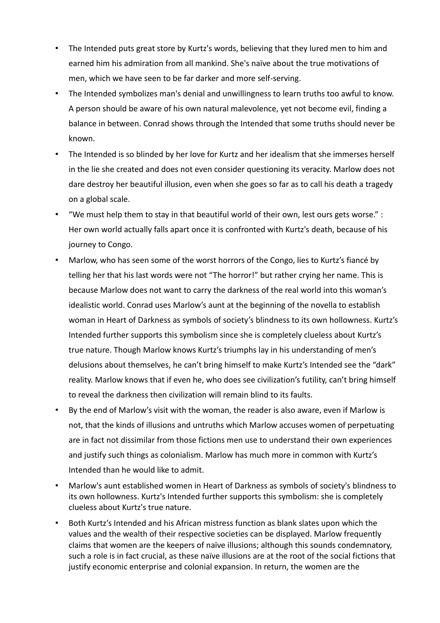- The Intended puts great store by Kurtz's words, believing that they lured men to him and earned him his admiration from all mankind. She's naïve about the true motivations of men, which we have seen to be far darker and more self-serving.
- The Intended symbolizes man's denial and unwillingness to learn truths too awful to know. A person should be aware of his own natural malevolence, yet not become evil, finding a balance in between. Conrad shows through the Intended that some truths should never be known.
- The Intended is so blinded by her love for Kurtz and her idealism that she immerses herself in the lie she created and does not even consider questioning its veracity. Marlow does not dare destroy her beautiful illusion, even when she goes so far as to call his death a tragedy on a global scale.
- "We must help them to stay in that beautiful world of their own, lest ours gets worse." : Her own world actually falls apart once it is confronted with Kurtz's death, because of his journey to Congo.
- Marlow, who has seen some of the worst horrors of the Congo, lies to Kurtz's fiancé by telling her that his last words were not "The horror!" but rather crying her name. This is because Marlow does not want to carry the darkness of the real world into this woman's idealistic world. Conrad uses Marlow's aunt at the beginning of the novella to establish woman in Heart of Darkness as symbols of society's blindness to its own hollowness. Kurtz's Intended further supports this symbolism since she is completely clueless about Kurtz's true nature. Though Marlow knows Kurtz's triumphs lay in his understanding of men's delusions about themselves, he can't bring himself to make Kurtz's Intended see the "dark" reality. Marlow knows that if even he, who does see civilization's futility, can't bring himself to reveal the darkness then civilization will remain blind to its faults.
- By the end of Marlow's visit with the woman, the reader is also aware, even if Marlow is not, that the kinds of illusions and untruths which Marlow accuses women of perpetuating are in fact not dissimilar from those fictions men use to understand their own experiences and justify such things as colonialism. Marlow has much more in common with Kurtz's Intended than he would like to admit.
- Marlow's aunt established women in Heart of Darkness as symbols of society's blindness to its own hollowness. Kurtz's Intended further supports this symbolism: she is completely clueless about Kurtz's true nature.
- Both Kurtz's Intended and his African mistress function as blank slates upon which the values and the wealth of their respective societies can be displayed. Marlow frequently claims that women are the keepers of naïve illusions; although this sounds condemnatory, such a role is in fact crucial, as these naïve illusions are at the root of the social fictions that justify economic enterprise and colonial expansion. In return, the women are the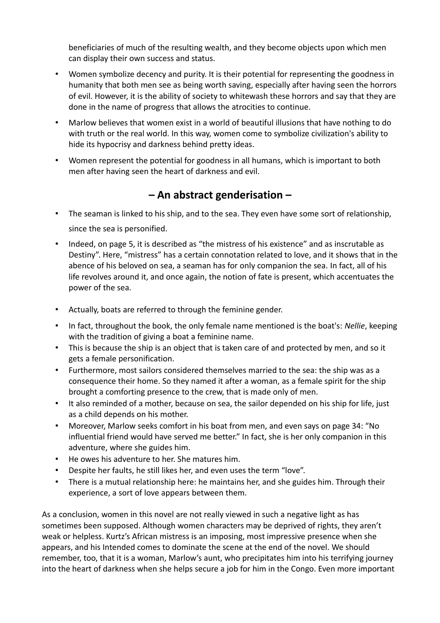beneficiaries of much of the resulting wealth, and they become objects upon which men can display their own success and status.

- Women symbolize decency and purity. It is their potential for representing the goodness in humanity that both men see as being worth saving, especially after having seen the horrors of evil. However, it is the ability of society to whitewash these horrors and say that they are done in the name of progress that allows the atrocities to continue.
- Marlow believes that women exist in a world of beautiful illusions that have nothing to do with truth or the real world. In this way, women come to symbolize civilization's ability to hide its hypocrisy and darkness behind pretty ideas.
- Women represent the potential for goodness in all humans, which is important to both men after having seen the heart of darkness and evil.

#### **– An abstract genderisation –**

- The seaman is linked to his ship, and to the sea. They even have some sort of relationship, since the sea is personified.
- Indeed, on page 5, it is described as "the mistress of his existence" and as inscrutable as Destiny". Here, "mistress" has a certain connotation related to love, and it shows that in the abence of his beloved on sea, a seaman has for only companion the sea. In fact, all of his life revolves around it, and once again, the notion of fate is present, which accentuates the power of the sea.
- Actually, boats are referred to through the feminine gender.
- In fact, throughout the book, the only female name mentioned is the boat's: *Nellie*, keeping with the tradition of giving a boat a feminine name.
- This is because the ship is an object that is taken care of and protected by men, and so it gets a female personification.
- Furthermore, most sailors considered themselves married to the sea: the ship was as a consequence their home. So they named it after a woman, as a female spirit for the ship brought a comforting presence to the crew, that is made only of men.
- It also reminded of a mother, because on sea, the sailor depended on his ship for life, just as a child depends on his mother.
- Moreover, Marlow seeks comfort in his boat from men, and even says on page 34: "No influential friend would have served me better." In fact, she is her only companion in this adventure, where she guides him.
- He owes his adventure to her. She matures him.
- Despite her faults, he still likes her, and even uses the term "love".
- There is a mutual relationship here: he maintains her, and she guides him. Through their experience, a sort of love appears between them.

As a conclusion, women in this novel are not really viewed in such a negative light as has sometimes been supposed. Although women characters may be deprived of rights, they aren't weak or helpless. Kurtz's African mistress is an imposing, most impressive presence when she appears, and his Intended comes to dominate the scene at the end of the novel. We should remember, too, that it is a woman, Marlow's aunt, who precipitates him into his terrifying journey into the heart of darkness when she helps secure a job for him in the Congo. Even more important